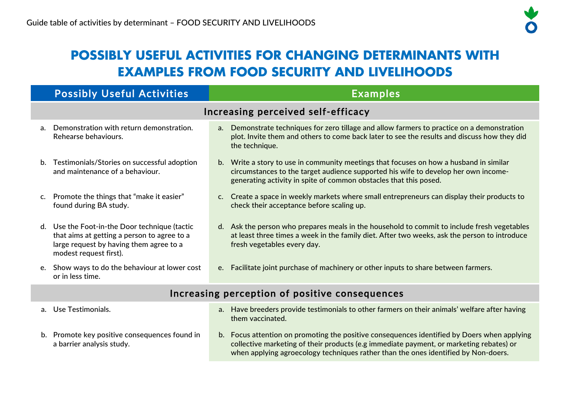## **POSSIBLY USEFUL ACTIVITIES FOR CHANGING DETERMINANTS WITH EXAMPLES FROM FOOD SECURITY AND LIVELIHOODS**

|                                                | <b>Possibly Useful Activities</b>                                                                                                                                 | <b>Examples</b>                                                                                                                                                                                                                                   |  |  |  |
|------------------------------------------------|-------------------------------------------------------------------------------------------------------------------------------------------------------------------|---------------------------------------------------------------------------------------------------------------------------------------------------------------------------------------------------------------------------------------------------|--|--|--|
|                                                | Increasing perceived self-efficacy                                                                                                                                |                                                                                                                                                                                                                                                   |  |  |  |
| a <sub>z</sub>                                 | Demonstration with return demonstration.<br>Rehearse behaviours.                                                                                                  | a. Demonstrate techniques for zero tillage and allow farmers to practice on a demonstration<br>plot. Invite them and others to come back later to see the results and discuss how they did<br>the technique.                                      |  |  |  |
| b.                                             | Testimonials/Stories on successful adoption<br>and maintenance of a behaviour.                                                                                    | b. Write a story to use in community meetings that focuses on how a husband in similar<br>circumstances to the target audience supported his wife to develop her own income-<br>generating activity in spite of common obstacles that this posed. |  |  |  |
| $\mathsf{C}$ .                                 | Promote the things that "make it easier"<br>found during BA study.                                                                                                | c. Create a space in weekly markets where small entrepreneurs can display their products to<br>check their acceptance before scaling up.                                                                                                          |  |  |  |
|                                                | d. Use the Foot-in-the Door technique (tactic<br>that aims at getting a person to agree to a<br>large request by having them agree to a<br>modest request first). | d. Ask the person who prepares meals in the household to commit to include fresh vegetables<br>at least three times a week in the family diet. After two weeks, ask the person to introduce<br>fresh vegetables every day.                        |  |  |  |
| e.                                             | Show ways to do the behaviour at lower cost<br>or in less time.                                                                                                   | Facilitate joint purchase of machinery or other inputs to share between farmers.<br>$e_{\cdot}$                                                                                                                                                   |  |  |  |
| Increasing perception of positive consequences |                                                                                                                                                                   |                                                                                                                                                                                                                                                   |  |  |  |
|                                                | a. Use Testimonials.                                                                                                                                              | a. Have breeders provide testimonials to other farmers on their animals' welfare after having                                                                                                                                                     |  |  |  |

- b. Promote key positive consequences found in a barrier analysis study.
- them vaccinated.
- b. Focus attention on promoting the positive consequences identified by Doers when applying collective marketing of their products (e.g immediate payment, or marketing rebates) or when applying agroecology techniques rather than the ones identified by Non-doers.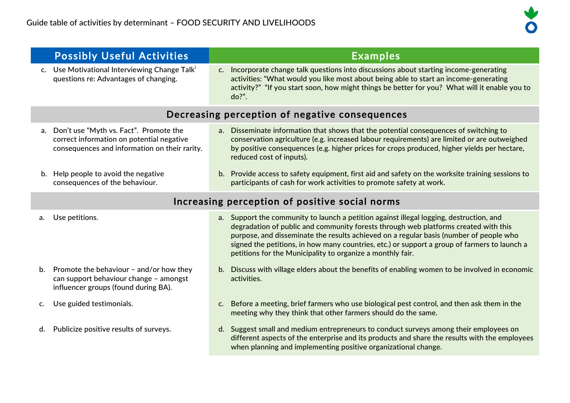b. Promote the behaviour – and/or how they can support behaviour change – amongst influencer groups (found during BA).



|                                                | <b>Possibly Useful Activities</b>                                                                                                       |                | <b>Examples</b>                                                                                                                                                                                                                                                                                                                                                                                                                        |  |
|------------------------------------------------|-----------------------------------------------------------------------------------------------------------------------------------------|----------------|----------------------------------------------------------------------------------------------------------------------------------------------------------------------------------------------------------------------------------------------------------------------------------------------------------------------------------------------------------------------------------------------------------------------------------------|--|
|                                                | c. Use Motivational Interviewing Change Talk'<br>questions re: Advantages of changing.                                                  | C <sub>1</sub> | Incorporate change talk questions into discussions about starting income-generating<br>activities: "What would you like most about being able to start an income-generating<br>activity?" "If you start soon, how might things be better for you? What will it enable you to<br>$do?"$ .                                                                                                                                               |  |
| Decreasing perception of negative consequences |                                                                                                                                         |                |                                                                                                                                                                                                                                                                                                                                                                                                                                        |  |
|                                                | a. Don't use "Myth vs. Fact". Promote the<br>correct information on potential negative<br>consequences and information on their rarity. | a <sub>r</sub> | Disseminate information that shows that the potential consequences of switching to<br>conservation agriculture (e.g. increased labour requirements) are limited or are outweighed<br>by positive consequences (e.g. higher prices for crops produced, higher yields per hectare,<br>reduced cost of inputs).                                                                                                                           |  |
|                                                | b. Help people to avoid the negative<br>consequences of the behaviour.                                                                  |                | b. Provide access to safety equipment, first aid and safety on the worksite training sessions to<br>participants of cash for work activities to promote safety at work.                                                                                                                                                                                                                                                                |  |
| Increasing perception of positive social norms |                                                                                                                                         |                |                                                                                                                                                                                                                                                                                                                                                                                                                                        |  |
|                                                | a. Use petitions.                                                                                                                       |                | a. Support the community to launch a petition against illegal logging, destruction, and<br>degradation of public and community forests through web platforms created with this<br>purpose, and disseminate the results achieved on a regular basis (number of people who<br>signed the petitions, in how many countries, etc.) or support a group of farmers to launch a<br>petitions for the Municipality to organize a monthly fair. |  |

- b. Discuss with village elders about the benefits of enabling women to be involved in economic activities.
- c. Use guided testimonials. c. Before a meeting, brief farmers who use biological pest control, and then ask them in the meeting why they think that other farmers should do the same.
- d. Publicize positive results of surveys. <br>d. Suggest small and medium entrepreneurs to conduct surveys among their employees on different aspects of the enterprise and its products and share the results with the employees when planning and implementing positive organizational change.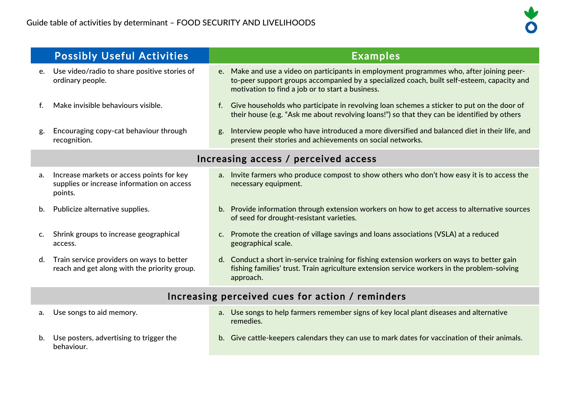

|                                                  | <b>Possibly Useful Activities</b>                                                                  | <b>Examples</b>                                                                                                                                                                                                                             |  |  |
|--------------------------------------------------|----------------------------------------------------------------------------------------------------|---------------------------------------------------------------------------------------------------------------------------------------------------------------------------------------------------------------------------------------------|--|--|
| e.                                               | Use video/radio to share positive stories of<br>ordinary people.                                   | e. Make and use a video on participants in employment programmes who, after joining peer-<br>to-peer support groups accompanied by a specialized coach, built self-esteem, capacity and<br>motivation to find a job or to start a business. |  |  |
| f.                                               | Make invisible behaviours visible.                                                                 | Give households who participate in revolving loan schemes a sticker to put on the door of<br>f.<br>their house (e.g. "Ask me about revolving loans!") so that they can be identified by others                                              |  |  |
| g.                                               | Encouraging copy-cat behaviour through<br>recognition.                                             | Interview people who have introduced a more diversified and balanced diet in their life, and<br>g.<br>present their stories and achievements on social networks.                                                                            |  |  |
| Increasing access / perceived access             |                                                                                                    |                                                                                                                                                                                                                                             |  |  |
| a.                                               | Increase markets or access points for key<br>supplies or increase information on access<br>points. | a. Invite farmers who produce compost to show others who don't how easy it is to access the<br>necessary equipment.                                                                                                                         |  |  |
| b.                                               | Publicize alternative supplies.                                                                    | b. Provide information through extension workers on how to get access to alternative sources<br>of seed for drought-resistant varieties.                                                                                                    |  |  |
| c.                                               | Shrink groups to increase geographical<br>access.                                                  | Promote the creation of village savings and loans associations (VSLA) at a reduced<br>C.<br>geographical scale.                                                                                                                             |  |  |
| d.                                               | Train service providers on ways to better<br>reach and get along with the priority group.          | d. Conduct a short in-service training for fishing extension workers on ways to better gain<br>fishing families' trust. Train agriculture extension service workers in the problem-solving<br>approach.                                     |  |  |
| Increasing perceived cues for action / reminders |                                                                                                    |                                                                                                                                                                                                                                             |  |  |
| a.                                               | Use songs to aid memory.                                                                           | a. Use songs to help farmers remember signs of key local plant diseases and alternative<br>remedies.                                                                                                                                        |  |  |
| b.                                               | Use posters, advertising to trigger the<br>behaviour.                                              | Give cattle-keepers calendars they can use to mark dates for vaccination of their animals.<br>b.                                                                                                                                            |  |  |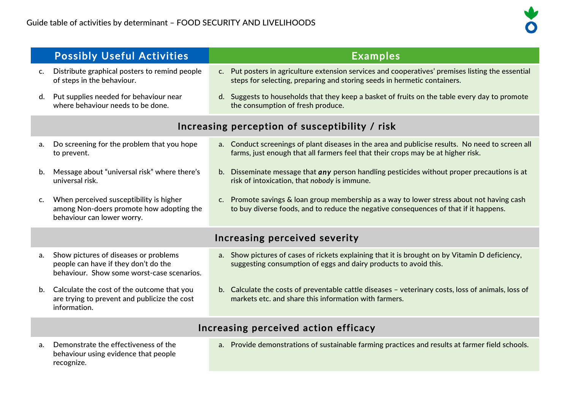

|                                                | <b>Possibly Useful Activities</b>                                                                                           | <b>Examples</b>                                                                                                                                                                      |  |  |  |
|------------------------------------------------|-----------------------------------------------------------------------------------------------------------------------------|--------------------------------------------------------------------------------------------------------------------------------------------------------------------------------------|--|--|--|
|                                                | c. Distribute graphical posters to remind people<br>of steps in the behaviour.                                              | c. Put posters in agriculture extension services and cooperatives' premises listing the essential<br>steps for selecting, preparing and storing seeds in hermetic containers.        |  |  |  |
| d.                                             | Put supplies needed for behaviour near<br>where behaviour needs to be done.                                                 | d. Suggests to households that they keep a basket of fruits on the table every day to promote<br>the consumption of fresh produce.                                                   |  |  |  |
| Increasing perception of susceptibility / risk |                                                                                                                             |                                                                                                                                                                                      |  |  |  |
| a.                                             | Do screening for the problem that you hope<br>to prevent.                                                                   | a. Conduct screenings of plant diseases in the area and publicise results. No need to screen all<br>farms, just enough that all farmers feel that their crops may be at higher risk. |  |  |  |
| b.                                             | Message about "universal risk" where there's<br>universal risk.                                                             | b. Disseminate message that any person handling pesticides without proper precautions is at<br>risk of intoxication, that nobody is immune.                                          |  |  |  |
| C.                                             | When perceived susceptibility is higher<br>among Non-doers promote how adopting the<br>behaviour can lower worry.           | c. Promote savings & loan group membership as a way to lower stress about not having cash<br>to buy diverse foods, and to reduce the negative consequences of that if it happens.    |  |  |  |
|                                                | Increasing perceived severity                                                                                               |                                                                                                                                                                                      |  |  |  |
| a.                                             | Show pictures of diseases or problems<br>people can have if they don't do the<br>behaviour. Show some worst-case scenarios. | a. Show pictures of cases of rickets explaining that it is brought on by Vitamin D deficiency,<br>suggesting consumption of eggs and dairy products to avoid this.                   |  |  |  |
|                                                | b. Calculate the cost of the outcome that you<br>are trying to prevent and publicize the cost<br>information.               | b. Calculate the costs of preventable cattle diseases - veterinary costs, loss of animals, loss of<br>markets etc. and share this information with farmers.                          |  |  |  |
| Increasing perceived action efficacy           |                                                                                                                             |                                                                                                                                                                                      |  |  |  |
| a.                                             | Demonstrate the effectiveness of the<br>behaviour using evidence that people<br>recognize.                                  | a. Provide demonstrations of sustainable farming practices and results at farmer field schools.                                                                                      |  |  |  |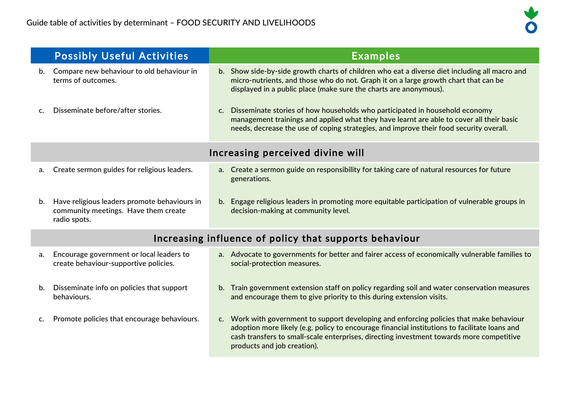

|                                  | <b>Possibly Useful Activities</b>                                                                    | <b>Examples</b>                                                                                                                                                                                                                                                                                                                                                                                                                                              |  |  |  |
|----------------------------------|------------------------------------------------------------------------------------------------------|--------------------------------------------------------------------------------------------------------------------------------------------------------------------------------------------------------------------------------------------------------------------------------------------------------------------------------------------------------------------------------------------------------------------------------------------------------------|--|--|--|
| b.                               | Compare new behaviour to old behaviour in<br>terms of outcomes.                                      | b. Show side-by-side growth charts of children who eat a diverse diet including all macro and<br>micro-nutrients, and those who do not. Graph it on a large growth chart that can be<br>displayed in a public place (make sure the charts are anonymous).                                                                                                                                                                                                    |  |  |  |
| C.                               | Disseminate before/after stories.                                                                    | Disseminate stories of how households who participated in household economy<br>C.<br>management trainings and applied what they have learnt are able to cover all their basic<br>needs, decrease the use of coping strategies, and improve their food security overall.                                                                                                                                                                                      |  |  |  |
| Increasing perceived divine will |                                                                                                      |                                                                                                                                                                                                                                                                                                                                                                                                                                                              |  |  |  |
| a.                               | Create sermon guides for religious leaders.                                                          | a. Create a sermon guide on responsibility for taking care of natural resources for future<br>generations.                                                                                                                                                                                                                                                                                                                                                   |  |  |  |
| b.                               | Have religious leaders promote behaviours in<br>community meetings. Have them create<br>radio spots. | Engage religious leaders in promoting more equitable participation of vulnerable groups in<br>b.<br>decision-making at community level.                                                                                                                                                                                                                                                                                                                      |  |  |  |
|                                  | Increasing influence of policy that supports behaviour                                               |                                                                                                                                                                                                                                                                                                                                                                                                                                                              |  |  |  |
| a.                               | Encourage government or local leaders to<br>create behaviour-supportive policies.                    | a. Advocate to governments for better and fairer access of economically vulnerable families to<br>social-protection measures.                                                                                                                                                                                                                                                                                                                                |  |  |  |
| b.                               | Disseminate info on policies that support<br>behaviours.                                             | b. Train government extension staff on policy regarding soil and water conservation measures<br>and encourage them to give priority to this during extension visits.                                                                                                                                                                                                                                                                                         |  |  |  |
|                                  |                                                                                                      | $\mathcal{L} = \mathcal{L} = \mathcal{L} = \mathcal{L} = \mathcal{L} = \mathcal{L} = \mathcal{L} = \mathcal{L} = \mathcal{L} = \mathcal{L} = \mathcal{L} = \mathcal{L} = \mathcal{L} = \mathcal{L} = \mathcal{L} = \mathcal{L} = \mathcal{L} = \mathcal{L} = \mathcal{L} = \mathcal{L} = \mathcal{L} = \mathcal{L} = \mathcal{L} = \mathcal{L} = \mathcal{L} = \mathcal{L} = \mathcal{L} = \mathcal{L} = \mathcal{L} = \mathcal{L} = \mathcal{L} = \mathcal$ |  |  |  |

c. Promote policies that encourage behaviours. c. Work with government to support developing and enforcing policies that make behaviour adoption more likely (e.g. policy to encourage financial institutions to facilitate loans and cash transfers to small-scale enterprises, directing investment towards more competitive products and job creation).